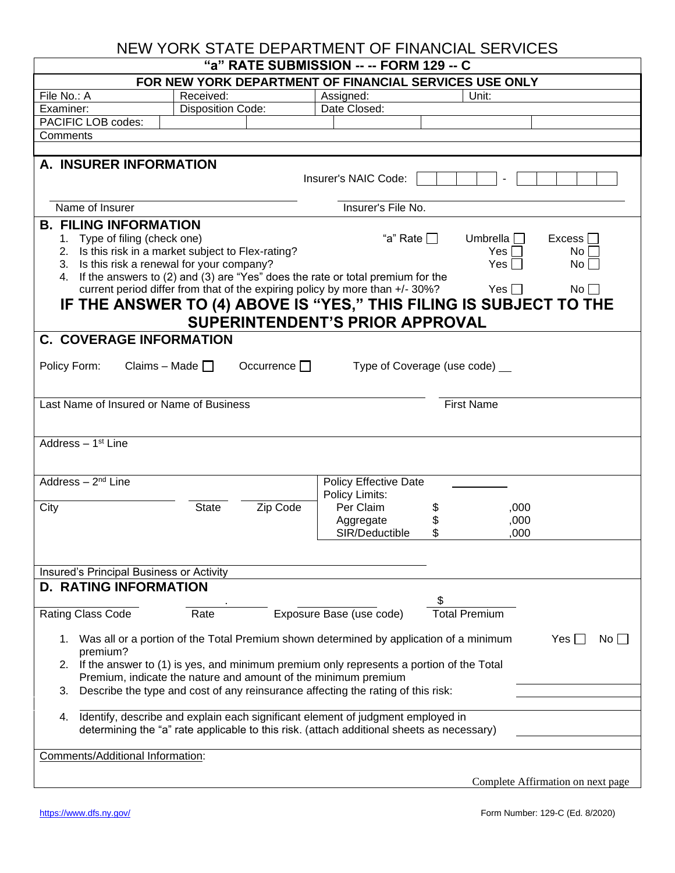## NEW YORK STATE DEPARTMENT OF FINANCIAL SERVICES

| "a" RATE SUBMISSION -- -- FORM 129 -- C                                                                                                                                                                                                                                                                                                                                                                                                                                                                                                                                                                         |          |                                                |                     |                                   |  |  |
|-----------------------------------------------------------------------------------------------------------------------------------------------------------------------------------------------------------------------------------------------------------------------------------------------------------------------------------------------------------------------------------------------------------------------------------------------------------------------------------------------------------------------------------------------------------------------------------------------------------------|----------|------------------------------------------------|---------------------|-----------------------------------|--|--|
| FOR NEW YORK DEPARTMENT OF FINANCIAL SERVICES USE ONLY                                                                                                                                                                                                                                                                                                                                                                                                                                                                                                                                                          |          |                                                |                     |                                   |  |  |
| File No.: A<br>Received:                                                                                                                                                                                                                                                                                                                                                                                                                                                                                                                                                                                        |          | Assigned:                                      | Unit:               |                                   |  |  |
| <b>Disposition Code:</b><br>Examiner:                                                                                                                                                                                                                                                                                                                                                                                                                                                                                                                                                                           |          | Date Closed:                                   |                     |                                   |  |  |
| PACIFIC LOB codes:                                                                                                                                                                                                                                                                                                                                                                                                                                                                                                                                                                                              |          |                                                |                     |                                   |  |  |
| Comments                                                                                                                                                                                                                                                                                                                                                                                                                                                                                                                                                                                                        |          |                                                |                     |                                   |  |  |
|                                                                                                                                                                                                                                                                                                                                                                                                                                                                                                                                                                                                                 |          |                                                |                     |                                   |  |  |
| A. INSURER INFORMATION<br>Insurer's NAIC Code:                                                                                                                                                                                                                                                                                                                                                                                                                                                                                                                                                                  |          |                                                |                     |                                   |  |  |
| Name of Insurer                                                                                                                                                                                                                                                                                                                                                                                                                                                                                                                                                                                                 |          | Insurer's File No.                             |                     |                                   |  |  |
| <b>B. FILING INFORMATION</b><br>"a" Rate $\Box$<br>1. Type of filing (check one)<br>Umbrella    <br>Excess  <br>2. Is this risk in a market subject to Flex-rating?<br>Yesl<br>No.<br>3. Is this risk a renewal for your company?<br>Yes $\Box$<br>$No$ $\Box$<br>If the answers to (2) and (3) are "Yes" does the rate or total premium for the<br>4.<br>current period differ from that of the expiring policy by more than +/- 30%?<br>$No \BoxYes \BoxIF THE ANSWER TO (4) ABOVE IS "YES," THIS FILING IS SUBJECT TO THESUPERINTENDENT'S PRIOR APPROVAL$                                                    |          |                                                |                     |                                   |  |  |
| <b>C. COVERAGE INFORMATION</b>                                                                                                                                                                                                                                                                                                                                                                                                                                                                                                                                                                                  |          |                                                |                     |                                   |  |  |
| Occurrence $\Box$<br>Claims – Made $\Box$<br>Type of Coverage (use code) __<br>Policy Form:                                                                                                                                                                                                                                                                                                                                                                                                                                                                                                                     |          |                                                |                     |                                   |  |  |
| Last Name of Insured or Name of Business<br><b>First Name</b>                                                                                                                                                                                                                                                                                                                                                                                                                                                                                                                                                   |          |                                                |                     |                                   |  |  |
| Address - 1 <sup>st</sup> Line                                                                                                                                                                                                                                                                                                                                                                                                                                                                                                                                                                                  |          |                                                |                     |                                   |  |  |
| Address $-2nd$ Line                                                                                                                                                                                                                                                                                                                                                                                                                                                                                                                                                                                             |          | <b>Policy Effective Date</b><br>Policy Limits: |                     |                                   |  |  |
| <b>State</b><br>City                                                                                                                                                                                                                                                                                                                                                                                                                                                                                                                                                                                            | Zip Code | Per Claim<br>Aggregate<br>SIR/Deductible       | \$<br>\$            | ,000<br>,000<br>.000              |  |  |
| Insured's Principal Business or Activity                                                                                                                                                                                                                                                                                                                                                                                                                                                                                                                                                                        |          |                                                |                     |                                   |  |  |
| <b>D. RATING INFORMATION</b>                                                                                                                                                                                                                                                                                                                                                                                                                                                                                                                                                                                    |          |                                                |                     |                                   |  |  |
| Rating Class Code<br>Rate                                                                                                                                                                                                                                                                                                                                                                                                                                                                                                                                                                                       |          | Exposure Base (use code)                       | \$<br>Total Premium |                                   |  |  |
| Was all or a portion of the Total Premium shown determined by application of a minimum<br>Yes I<br>1.<br>No.<br>premium?<br>If the answer to (1) is yes, and minimum premium only represents a portion of the Total<br>2.<br>Premium, indicate the nature and amount of the minimum premium<br>Describe the type and cost of any reinsurance affecting the rating of this risk:<br>3.<br>Identify, describe and explain each significant element of judgment employed in<br>4.<br>determining the "a" rate applicable to this risk. (attach additional sheets as necessary)<br>Comments/Additional Information: |          |                                                |                     |                                   |  |  |
|                                                                                                                                                                                                                                                                                                                                                                                                                                                                                                                                                                                                                 |          |                                                |                     |                                   |  |  |
|                                                                                                                                                                                                                                                                                                                                                                                                                                                                                                                                                                                                                 |          |                                                |                     | Complete Affirmation on next page |  |  |